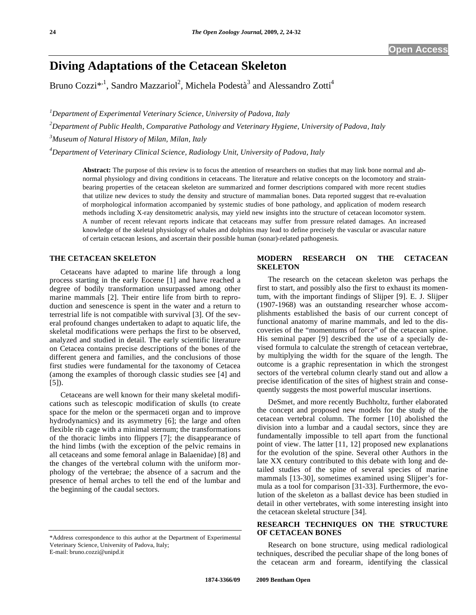# **Diving Adaptations of the Cetacean Skeleton**

Bruno Cozzi\*<sup>, 1</sup>, Sandro Mazzariol<sup>2</sup>, Michela Podestà<sup>3</sup> and Alessandro Zotti<sup>4</sup>

*1 Department of Experimental Veterinary Science, University of Padova, Italy* 

*2 Department of Public Health, Comparative Pathology and Veterinary Hygiene, University of Padova, Italy* 

*3 Museum of Natural History of Milan, Milan, Italy* 

*4 Department of Veterinary Clinical Science, Radiology Unit, University of Padova, Italy* 

**Abstract:** The purpose of this review is to focus the attention of researchers on studies that may link bone normal and abnormal physiology and diving conditions in cetaceans. The literature and relative concepts on the locomotory and strainbearing properties of the cetacean skeleton are summarized and former descriptions compared with more recent studies that utilize new devices to study the density and structure of mammalian bones. Data reported suggest that re-evaluation of morphological information accompanied by systemic studies of bone pathology, and application of modern research methods including X-ray densitometric analysis, may yield new insights into the structure of cetacean locomotor system. A number of recent relevant reports indicate that cetaceans may suffer from pressure related damages. An increased knowledge of the skeletal physiology of whales and dolphins may lead to define precisely the vascular or avascular nature of certain cetacean lesions, and ascertain their possible human (sonar)-related pathogenesis.

## **THE CETACEAN SKELETON**

 Cetaceans have adapted to marine life through a long process starting in the early Eocene [1] and have reached a degree of bodily transformation unsurpassed among other marine mammals [2]. Their entire life from birth to reproduction and senescence is spent in the water and a return to terrestrial life is not compatible with survival [3]. Of the several profound changes undertaken to adapt to aquatic life, the skeletal modifications were perhaps the first to be observed, analyzed and studied in detail. The early scientific literature on Cetacea contains precise descriptions of the bones of the different genera and families, and the conclusions of those first studies were fundamental for the taxonomy of Cetacea (among the examples of thorough classic studies see [4] and [5]).

 Cetaceans are well known for their many skeletal modifications such as telescopic modification of skulls (to create space for the melon or the spermaceti organ and to improve hydrodynamics) and its asymmetry [6]; the large and often flexible rib cage with a minimal sternum; the transformations of the thoracic limbs into flippers [7]; the disappearance of the hind limbs (with the exception of the pelvic remains in all cetaceans and some femoral anlage in Balaenidae) [8] and the changes of the vertebral column with the uniform morphology of the vertebrae; the absence of a sacrum and the presence of hemal arches to tell the end of the lumbar and the beginning of the caudal sectors.

E-mail: bruno.cozzi@unipd.it

## **MODERN RESEARCH ON THE CETACEAN SKELETON**

 The research on the cetacean skeleton was perhaps the first to start, and possibly also the first to exhaust its momentum, with the important findings of Slijper [9]. E. J. Slijper (1907-1968) was an outstanding researcher whose accomplishments established the basis of our current concept of functional anatomy of marine mammals, and led to the discoveries of the "momentums of force" of the cetacean spine. His seminal paper [9] described the use of a specially devised formula to calculate the strength of cetacean vertebrae, by multiplying the width for the square of the length. The outcome is a graphic representation in which the strongest sectors of the vertebral column clearly stand out and allow a precise identification of the sites of highest strain and consequently suggests the most powerful muscular insertions.

 DeSmet, and more recently Buchholtz, further elaborated the concept and proposed new models for the study of the cetacean vertebral column. The former [10] abolished the division into a lumbar and a caudal sectors, since they are fundamentally impossible to tell apart from the functional point of view. The latter [11, 12] proposed new explanations for the evolution of the spine. Several other Authors in the late XX century contributed to this debate with long and detailed studies of the spine of several species of marine mammals [13-30], sometimes examined using Slijper's formula as a tool for comparison [31-33]. Furthermore, the evolution of the skeleton as a ballast device has been studied in detail in other vertebrates, with some interesting insight into the cetacean skeletal structure [34].

## **RESEARCH TECHNIQUES ON THE STRUCTURE OF CETACEAN BONES**

 Research on bone structure, using medical radiological techniques, described the peculiar shape of the long bones of the cetacean arm and forearm, identifying the classical

<sup>\*</sup>Address correspondence to this author at the Department of Experimental Veterinary Science, University of Padova, Italy;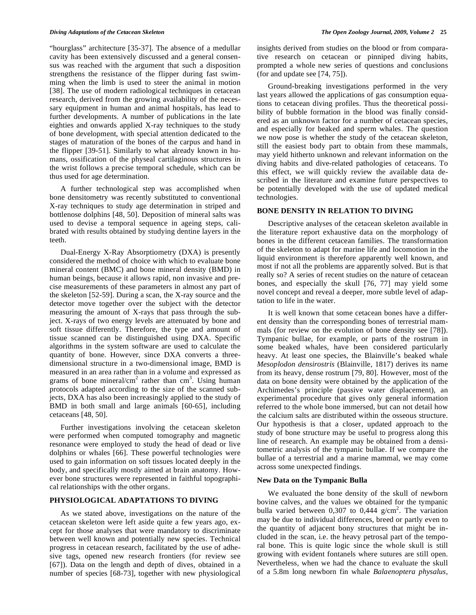"hourglass" architecture [35-37]. The absence of a medullar cavity has been extensively discussed and a general consensus was reached with the argument that such a disposition strengthens the resistance of the flipper during fast swimming when the limb is used to steer the animal in motion [38]. The use of modern radiological techniques in cetacean research, derived from the growing availability of the necessary equipment in human and animal hospitals, has lead to further developments. A number of publications in the late eighties and onwards applied X-ray techniques to the study of bone development, with special attention dedicated to the stages of maturation of the bones of the carpus and hand in the flipper [39-51]. Similarly to what already known in humans, ossification of the physeal cartilaginous structures in the wrist follows a precise temporal schedule, which can be thus used for age determination.

 A further technological step was accomplished when bone densitometry was recently substituted to conventional X-ray techniques to study age determination in striped and bottlenose dolphins [48, 50]. Deposition of mineral salts was used to devise a temporal sequence in ageing steps, calibrated with results obtained by studying dentine layers in the teeth.

 Dual-Energy X-Ray Absorptiometry (DXA) is presently considered the method of choice with which to evaluate bone mineral content (BMC) and bone mineral density (BMD) in human beings, because it allows rapid, non invasive and precise measurements of these parameters in almost any part of the skeleton [52-59]. During a scan, the X-ray source and the detector move together over the subject with the detector measuring the amount of X-rays that pass through the subject. X-rays of two energy levels are attenuated by bone and soft tissue differently. Therefore, the type and amount of tissue scanned can be distinguished using DXA. Specific algorithms in the system software are used to calculate the quantity of bone. However, since DXA converts a threedimensional structure in a two-dimensional image, BMD is measured in an area rather than in a volume and expressed as grams of bone mineral/cm<sup>2</sup> rather than  $cm<sup>3</sup>$ . Using human protocols adapted according to the size of the scanned subjects, DXA has also been increasingly applied to the study of BMD in both small and large animals [60-65], including cetaceans [48, 50].

 Further investigations involving the cetacean skeleton were performed when computed tomography and magnetic resonance were employed to study the head of dead or live dolphins or whales [66]. These powerful technologies were used to gain information on soft tissues located deeply in the body, and specifically mostly aimed at brain anatomy. However bone structures were represented in faithful topographical relationships with the other organs.

## **PHYSIOLOGICAL ADAPTATIONS TO DIVING**

 As we stated above, investigations on the nature of the cetacean skeleton were left aside quite a few years ago, except for those analyses that were mandatory to discriminate between well known and potentially new species. Technical progress in cetacean research, facilitated by the use of adhesive tags, opened new research frontiers (for review see [67]). Data on the length and depth of dives, obtained in a number of species [68-73], together with new physiological

insights derived from studies on the blood or from comparative research on cetacean or pinniped diving habits, prompted a whole new series of questions and conclusions (for and update see [74, 75]).

 Ground-breaking investigations performed in the very last years allowed the applications of gas consumption equations to cetacean diving profiles. Thus the theoretical possibility of bubble formation in the blood was finally considered as an unknown factor for a number of cetacean species, and especially for beaked and sperm whales. The question we now pose is whether the study of the cetacean skeleton, still the easiest body part to obtain from these mammals, may yield hitherto unknown and relevant information on the diving habits and dive-related pathologies of cetaceans. To this effect, we will quickly review the available data described in the literature and examine future perspectives to be potentially developed with the use of updated medical technologies.

## **BONE DENSITY IN RELATION TO DIVING**

Descriptive analyses of the cetacean skeleton available in the literature report exhaustive data on the morphology of bones in the different cetacean families. The transformation of the skeleton to adapt for marine life and locomotion in the liquid environment is therefore apparently well known, and most if not all the problems are apparently solved. But is that really so? A series of recent studies on the nature of cetacean bones, and especially the skull [76, 77] may yield some novel concept and reveal a deeper, more subtle level of adaptation to life in the water.

 It is well known that some cetacean bones have a different density than the corresponding bones of terrestrial mammals (for review on the evolution of bone density see [78]). Tympanic bullae, for example, or parts of the rostrum in some beaked whales, have been considered particularly heavy. At least one species, the Blainville's beaked whale *Mesoplodon densirostris* (Blainville, 1817) derives its name from its heavy, dense rostrum [79, 80]. However, most of the data on bone density were obtained by the application of the Archimedes's principle (passive water displacement), an experimental procedure that gives only general information referred to the whole bone immersed, but can not detail how the calcium salts are distributed within the osseous structure. Our hypothesis is that a closer, updated approach to the study of bone structure may be useful to progress along this line of research. An example may be obtained from a densitometric analysis of the tympanic bullae. If we compare the bullae of a terrestrial and a marine mammal, we may come across some unexpected findings.

#### **New Data on the Tympanic Bulla**

 We evaluated the bone density of the skull of newborn bovine calves, and the values we obtained for the tympanic bulla varied between  $0,307$  to  $0,444$  g/cm<sup>2</sup>. The variation may be due to individual differences, breed or partly even to the quantity of adjacent bony structures that might be included in the scan, i.e. the heavy petrosal part of the temporal bone. This is quite logic since the whole skull is still growing with evident fontanels where sutures are still open. Nevertheless, when we had the chance to evaluate the skull of a 5.8m long newborn fin whale *Balaenoptera physalus*,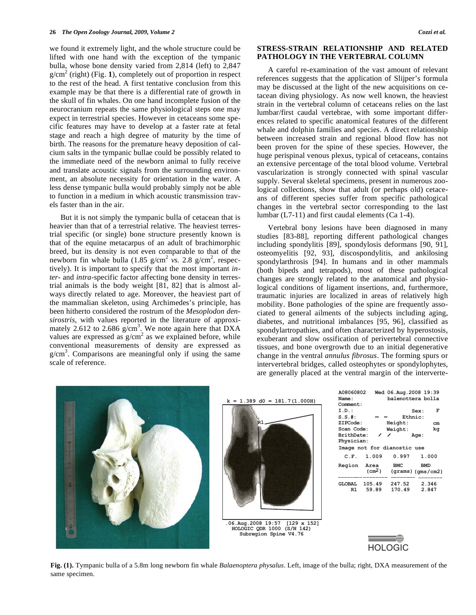we found it extremely light, and the whole structure could be lifted with one hand with the exception of the tympanic bulla, whose bone density varied from 2,814 (left) to 2,847  $g/cm<sup>2</sup>$  (right) (Fig. 1), completely out of proportion in respect to the rest of the head. A first tentative conclusion from this example may be that there is a differential rate of growth in the skull of fin whales. On one hand incomplete fusion of the neurocranium repeats the same physiological steps one may expect in terrestrial species. However in cetaceans some specific features may have to develop at a faster rate at fetal stage and reach a high degree of maturity by the time of birth. The reasons for the premature heavy deposition of calcium salts in the tympanic bullae could be possibly related to the immediate need of the newborn animal to fully receive and translate acoustic signals from the surrounding environment, an absolute necessity for orientation in the water. A less dense tympanic bulla would probably simply not be able to function in a medium in which acoustic transmission travels faster than in the air.

 But it is not simply the tympanic bulla of cetacean that is heavier than that of a terrestrial relative. The heaviest terrestrial specific (or single) bone structure presently known is that of the equine metacarpus of an adult of brachimorphic breed, but its density is not even comparable to that of the newborn fin whale bulla  $(1.85 \text{ g/cm}^2 \text{ vs. } 2.8 \text{ g/cm}^2 \text{, respectively.}$ tively). It is important to specify that the most important *inter-* and *intra-*specific factor affecting bone density in terrestrial animals is the body weight [81, 82] that is almost always directly related to age. Moreover, the heaviest part of the mammalian skeleton, using Archimedes's principle, has been hitherto considered the rostrum of the *Mesoplodon densirostris*, with values reported in the literature of approximately 2.612 to 2.686  $g/cm<sup>3</sup>$ . We note again here that DXA values are expressed as  $g/cm^2$  as we explained before, while conventional measurements of density are expressed as  $g/cm<sup>3</sup>$ . Comparisons are meaningful only if using the same scale of reference.

## **STRESS-STRAIN RELATIONSHIP AND RELATED PATHOLOGY IN THE VERTEBRAL COLUMN**

 A careful re-examination of the vast amount of relevant references suggests that the application of Slijper's formula may be discussed at the light of the new acquisitions on cetacean diving physiology. As now well known, the heaviest strain in the vertebral column of cetaceans relies on the last lumbar/first caudal vertebrae, with some important differences related to specific anatomical features of the different whale and dolphin families and species. A direct relationship between increased strain and regional blood flow has not been proven for the spine of these species. However, the huge perispinal venous plexus, typical of cetaceans, contains an extensive percentage of the total blood volume. Vertebral vascularization is strongly connected with spinal vascular supply. Several skeletal specimens, present in numerous zoological collections, show that adult (or perhaps old) cetaceans of different species suffer from specific pathological changes in the vertebral sector corresponding to the last lumbar (L7-11) and first caudal elements (Ca 1-4).

 Vertebral bony lesions have been diagnosed in many studies [83-88], reporting different pathological changes including spondylitis [89], spondylosis deformans [90, 91], osteomyelitis [92, 93], discospondylitis, and ankilosing spondylarthrosis [94]. In humans and in other mammals (both bipeds and tetrapods), most of these pathological changes are strongly related to the anatomical and physiological conditions of ligament insertions, and, furthermore, traumatic injuries are localized in areas of relatively high mobility. Bone pathologies of the spine are frequently associated to general ailments of the subjects including aging, diabetes, and nutritional imbalances [95, 96], classified as spondylartropathies, and often characterized by hyperostosis, exuberant and slow ossification of perivertebral connective tissues, and bone overgrowth due to an initial degenerative change in the ventral *annulus fibrosus*. The forming spurs or intervertebral bridges, called osteophytes or spondylophytes, are generally placed at the ventral margin of the interverte-



**Fig. (1).** Tympanic bulla of a 5.8m long newborn fin whale *Balaenoptera physalus*. Left, image of the bulla; right, DXA measurement of the same specimen.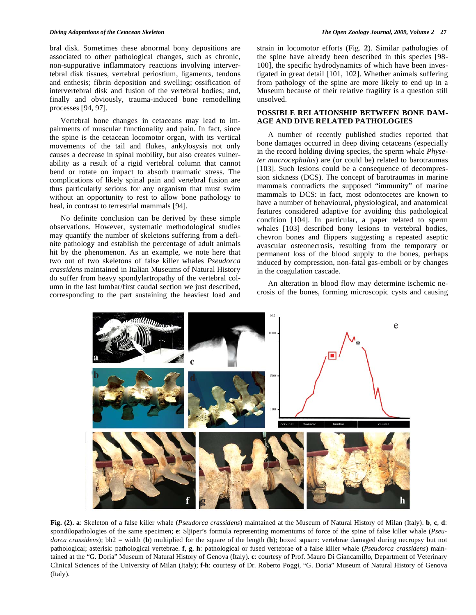bral disk. Sometimes these abnormal bony depositions are associated to other pathological changes, such as chronic, non-suppurative inflammatory reactions involving intervertebral disk tissues, vertebral periostium, ligaments, tendons and enthesis; fibrin deposition and swelling; ossification of intervertebral disk and fusion of the vertebral bodies; and, finally and obviously, trauma-induced bone remodelling processes [94, 97].

 Vertebral bone changes in cetaceans may lead to impairments of muscular functionality and pain. In fact, since the spine is the cetacean locomotor organ, with its vertical movements of the tail and flukes, ankylosysis not only causes a decrease in spinal mobility, but also creates vulnerability as a result of a rigid vertebral column that cannot bend or rotate on impact to absorb traumatic stress. The complications of likely spinal pain and vertebral fusion are thus particularly serious for any organism that must swim without an opportunity to rest to allow bone pathology to heal, in contrast to terrestrial mammals [94].

 No definite conclusion can be derived by these simple observations. However, systematic methodological studies may quantify the number of skeletons suffering from a definite pathology and establish the percentage of adult animals hit by the phenomenon. As an example, we note here that two out of two skeletons of false killer whales *Pseudorca crassidens* maintained in Italian Museums of Natural History do suffer from heavy spondylartropathy of the vertebral column in the last lumbar/first caudal section we just described, corresponding to the part sustaining the heaviest load and strain in locomotor efforts (Fig. **2**). Similar pathologies of the spine have already been described in this species [98- 100], the specific hydrodynamics of which have been investigated in great detail [101, 102]. Whether animals suffering from pathology of the spine are more likely to end up in a Museum because of their relative fragility is a question still unsolved.

## **POSSIBLE RELATIONSHIP BETWEEN BONE DAM-AGE AND DIVE RELATED PATHOLOGIES**

 A number of recently published studies reported that bone damages occurred in deep diving cetaceans (especially in the record holding diving species, the sperm whale *Physeter macrocephalus*) are (or could be) related to barotraumas [103]. Such lesions could be a consequence of decompression sickness (DCS). The concept of barotraumas in marine mammals contradicts the supposed "immunity" of marine mammals to DCS: in fact, most odontocetes are known to have a number of behavioural, physiological, and anatomical features considered adaptive for avoiding this pathological condition [104]. In particular, a paper related to sperm whales [103] described bony lesions to vertebral bodies, chevron bones and flippers suggesting a repeated aseptic avascular osteonecrosis, resulting from the temporary or permanent loss of the blood supply to the bones, perhaps induced by compression, non-fatal gas-emboli or by changes in the coagulation cascade.

 An alteration in blood flow may determine ischemic necrosis of the bones, forming microscopic cysts and causing



**Fig. (2). a**: Skeleton of a false killer whale (*Pseudorca crassidens*) maintained at the Museum of Natural History of Milan (Italy). **b**, **c**, **d**: spondilopathologies of the same specimen; **e**: Sljiper's formula representing momentums of force of the spine of false killer whale (*Pseudorca crassidens*); bh2 = width (**b**) multiplied for the square of the length (**h**); boxed square: vertebrae damaged during necropsy but not pathological; asterisk: pathological vertebrae. **f**, **g**, **h**: pathological or fused vertebrae of a false killer whale (*Pseudorca crassidens*) maintained at the "G. Doria" Museum of Natural History of Genova (Italy). **c**: courtesy of Prof. Mauro Di Giancamillo, Department of Veterinary Clinical Sciences of the University of Milan (Italy); **f-h**: courtesy of Dr. Roberto Poggi, "G. Doria" Museum of Natural History of Genova (Italy).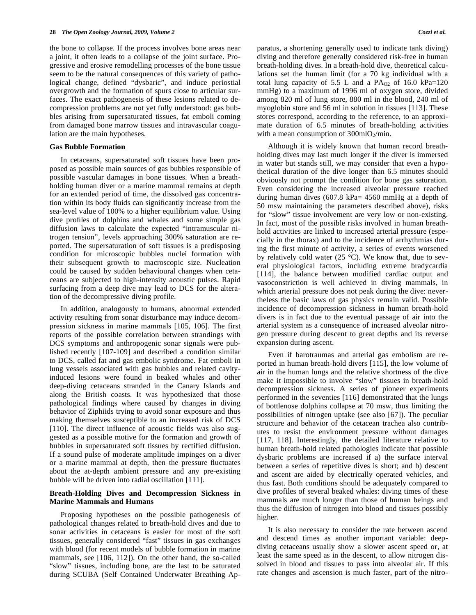the bone to collapse. If the process involves bone areas near a joint, it often leads to a collapse of the joint surface. Progressive and erosive remodelling processes of the bone tissue seem to be the natural consequences of this variety of pathological change, defined "dysbaric", and induce periostial overgrowth and the formation of spurs close to articular surfaces. The exact pathogenesis of these lesions related to decompression problems are not yet fully understood: gas bubbles arising from supersaturated tissues, fat emboli coming from damaged bone marrow tissues and intravascular coagulation are the main hypotheses.

#### **Gas Bubble Formation**

 In cetaceans, supersaturated soft tissues have been proposed as possible main sources of gas bubbles responsible of possible vascular damages in bone tissues. When a breathholding human diver or a marine mammal remains at depth for an extended period of time, the dissolved gas concentration within its body fluids can significantly increase from the sea-level value of 100% to a higher equilibrium value. Using dive profiles of dolphins and whales and some simple gas diffusion laws to calculate the expected "intramuscular nitrogen tension", levels approaching 300% saturation are reported. The supersaturation of soft tissues is a predisposing condition for microscopic bubbles nuclei formation with their subsequent growth to macroscopic size. Nucleation could be caused by sudden behavioural changes when cetaceans are subjected to high-intensity acoustic pulses. Rapid surfacing from a deep dive may lead to DCS for the alteration of the decompressive diving profile.

 In addition, analogously to humans, abnormal extended activity resulting from sonar disturbance may induce decompression sickness in marine mammals [105, 106]. The first reports of the possible correlation between strandings with DCS symptoms and anthropogenic sonar signals were published recently [107-109] and described a condition similar to DCS, called fat and gas embolic syndrome. Fat emboli in lung vessels associated with gas bubbles and related cavityinduced lesions were found in beaked whales and other deep-diving cetaceans stranded in the Canary Islands and along the British coasts. It was hypothesized that those pathological findings where caused by changes in diving behavior of Ziphiids trying to avoid sonar exposure and thus making themselves susceptible to an increased risk of DCS [110]. The direct influence of acoustic fields was also suggested as a possible motive for the formation and growth of bubbles in supersaturated soft tissues by rectified diffusion. If a sound pulse of moderate amplitude impinges on a diver or a marine mammal at depth, then the pressure fluctuates about the at-depth ambient pressure and any pre-existing bubble will be driven into radial oscillation [111].

#### **Breath-Holding Dives and Decompression Sickness in Marine Mammals and Humans**

 Proposing hypotheses on the possible pathogenesis of pathological changes related to breath-hold dives and due to sonar activities in cetaceans is easier for most of the soft tissues, generally considered "fast" tissues in gas exchanges with blood (for recent models of bubble formation in marine mammals, see [106, 112]). On the other hand, the so-called "slow" tissues, including bone, are the last to be saturated during SCUBA (Self Contained Underwater Breathing Apparatus, a shortening generally used to indicate tank diving) diving and therefore generally considered risk-free in human breath-holding dives. In a breath-hold dive, theoretical calculations set the human limit (for a 70 kg individual with a total lung capacity of 5.5 L and a  $PA<sub>02</sub>$  of 16.0 kPa=120 mmHg) to a maximum of 1996 ml of oxygen store, divided among 820 ml of lung store, 880 ml in the blood, 240 ml of myoglobin store and 56 ml in solution in tissues [113]. These stores correspond, according to the reference, to an approximate duration of 6.5 minutes of breath-holding activities with a mean consumption of  $300$ mlO<sub>2</sub>/min.

 Although it is widely known that human record breathholding dives may last much longer if the diver is immersed in water but stands still, we may consider that even a hypothetical duration of the dive longer than 6.5 minutes should obviously not prompt the condition for bone gas saturation. Even considering the increased alveolar pressure reached during human dives (607.8 kPa= 4560 mmHg at a depth of 50 msw maintaining the parameters described above), risks for "slow" tissue involvement are very low or non-existing. In fact, most of the possible risks involved in human breathhold activities are linked to increased arterial pressure (especially in the thorax) and to the incidence of arrhythmias during the first minute of activity, a series of events worsened by relatively cold water (25 °C). We know that, due to several physiological factors, including extreme bradycardia [114], the balance between modified cardiac output and vasoconstriction is well achieved in diving mammals, in which arterial pressure does not peak during the dive: nevertheless the basic laws of gas physics remain valid. Possible incidence of decompression sickness in human breath-hold divers is in fact due to the eventual passage of air into the arterial system as a consequence of increased alveolar nitrogen pressure during descent to great depths and its reverse expansion during ascent.

 Even if barotraumas and arterial gas embolism are reported in human breath-hold divers [115], the low volume of air in the human lungs and the relative shortness of the dive make it impossible to involve "slow" tissues in breath-hold decompression sickness. A series of pioneer experiments performed in the seventies [116] demonstrated that the lungs of bottlenose dolphins collapse at 70 msw, thus limiting the possibilities of nitrogen uptake (see also [67]). The peculiar structure and behavior of the cetacean trachea also contributes to resist the environment pressure without damages [117, 118]. Interestingly, the detailed literature relative to human breath-hold related pathologies indicate that possible dysbaric problems are increased if a) the surface interval between a series of repetitive dives is short; and b) descent and ascent are aided by electrically operated vehicles, and thus fast. Both conditions should be adequately compared to dive profiles of several beaked whales: diving times of these mammals are much longer than those of human beings and thus the diffusion of nitrogen into blood and tissues possibly higher.

 It is also necessary to consider the rate between ascend and descend times as another important variable: deepdiving cetaceans usually show a slower ascent speed or, at least the same speed as in the descent, to allow nitrogen dissolved in blood and tissues to pass into alveolar air. If this rate changes and ascension is much faster, part of the nitro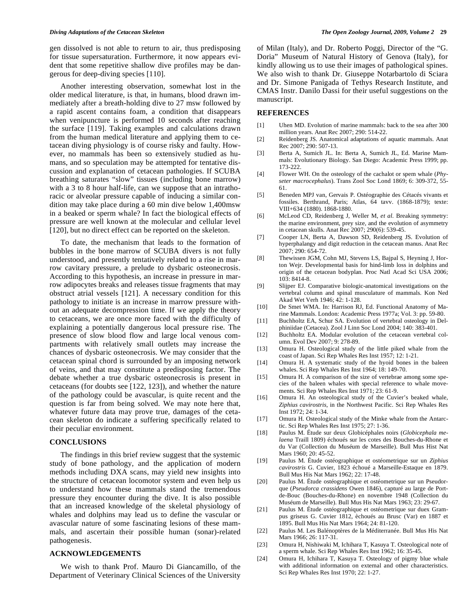gen dissolved is not able to return to air, thus predisposing for tissue supersaturation. Furthermore, it now appears evident that some repetitive shallow dive profiles may be dangerous for deep-diving species [110].

 Another interesting observation, somewhat lost in the older medical literature, is that, in humans, blood drawn immediately after a breath-holding dive to 27 msw followed by a rapid ascent contains foam, a condition that disappears when venipuncture is performed 10 seconds after reaching the surface [119]. Taking examples and calculations drawn from the human medical literature and applying them to cetacean diving physiology is of course risky and faulty. However, no mammals has been so extensively studied as humans, and so speculation may be attempted for tentative discussion and explanation of cetacean pathologies. If SCUBA breathing saturates "slow" tissues (including bone marrow) with a 3 to 8 hour half-life, can we suppose that an intrathoracic or alveolar pressure capable of inducing a similar condition may take place during a 60 min dive below 1,400msw in a beaked or sperm whale? In fact the biological effects of pressure are well known at the molecular and cellular level [120], but no direct effect can be reported on the skeleton.

 To date, the mechanism that leads to the formation of bubbles in the bone marrow of SCUBA divers is not fully understood, and presently tentatively related to a rise in marrow cavitary pressure, a prelude to dysbaric osteonecrosis. According to this hypothesis, an increase in pressure in marrow adipocytes breaks and releases tissue fragments that may obstruct atrial vessels [121]. A necessary condition for this pathology to initiate is an increase in marrow pressure without an adequate decompression time. If we apply the theory to cetaceans, we are once more faced with the difficulty of explaining a potentially dangerous local pressure rise. The presence of slow blood flow and large local venous compartments with relatively small outlets may increase the chances of dysbaric osteonecrosis. We may consider that the cetacean spinal chord is surrounded by an imposing network of veins, and that may constitute a predisposing factor. The debate whether a true dysbaric osteonecrosis is present in cetaceans (for doubts see [122, 123]), and whether the nature of the pathology could be avascular, is quite recent and the question is far from being solved. We may note here that, whatever future data may prove true, damages of the cetacean skeleton do indicate a suffering specifically related to their peculiar environment.

#### **CONCLUSIONS**

 The findings in this brief review suggest that the systemic study of bone pathology, and the application of modern methods including DXA scans, may yield new insights into the structure of cetacean locomotor system and even help us to understand how these mammals stand the tremendous pressure they encounter during the dive. It is also possible that an increased knowledge of the skeletal physiology of whales and dolphins may lead us to define the vascular or avascular nature of some fascinating lesions of these mammals, and ascertain their possible human (sonar)-related pathogenesis.

### **ACKNOWLEDGEMENTS**

 We wish to thank Prof. Mauro Di Giancamillo, of the Department of Veterinary Clinical Sciences of the University of Milan (Italy), and Dr. Roberto Poggi, Director of the "G. Doria" Museum of Natural History of Genova (Italy), for kindly allowing us to use their images of pathological spines. We also wish to thank Dr. Giuseppe Notarbartolo di Sciara and Dr. Simone Panigada of Tethys Research Institute, and CMAS Instr. Danilo Dassi for their useful suggestions on the manuscript.

#### **REFERENCES**

- [1] Uhen MD. Evolution of marine mammals: back to the sea after 300 million years. Anat Rec 2007; 290: 514-22.
- [2] Reidenberg JS. Anatomical adaptations of aquatic mammals. Anat Rec 2007; 290: 507-13.
- [3] Berta A, Sumich JL. In: Berta A, Sumich JL, Ed. Marine Mammals: Evolutionary Biology. San Diego: Academic Press 1999; pp. 173-222.
- [4] Flower WH. On the osteology of the cachalot or spem whale (*Physeter macrocephalus*). Trans Zool Soc Lond 1869; 6: 309-372, 55- 61.
- [5] Beneden MPJ van, Gervais P. Ostéographie des Cétacés vivants et fossiles. Berthrand, Paris; Atlas, 64 tavv. (1868-1879); texte: VIII+634 (1880). 1868-1880.
- [6] McLeod CD, Reidenberg J, Weller M, *et al*. Breaking symmetry: the marine environment, prey size, and the evolution of asymmetry in cetacean skulls. Anat Rec 2007; 290(6): 539-45.
- [7] Cooper LN, Berta A, Dawson SD, Reidenberg JS. Evolution of hyperphalangy and digit reduction in the cetacean manus. Anat Rec 2007; 290: 654-72.
- [8] Thewissen JGM, Cohn MJ, Stevens LS, Bajpal S, Heyning J, Horton Wejr. Developmental basis for hind-limb loss in dolphins and origin of the cetacean bodyplan. Proc Natl Acad Sci USA 2006; 103: 8414-8.
- [9] Slijper EJ. Comparative biologic-anatomical investigations on the vertebral column and spinal musculature of mammals. Kon Ned Akad Wet Verh 1946; 42: 1-128.
- [10] De Smet WMA. In: Harrison RJ, Ed. Functional Anatomy of Marine Mammals. London: Academic Press 1977a; Vol. 3: pp. 59-80.
- [11] Buchholtz EA, Schur SA. Evolution of vertebral osteology in Delphiniidae (Cetacea). Zool J Linn Soc Lond 2004; 140: 383-401.
- [12] Buchholtz EA. Modular evolution of the cetacean vertebral column. Evol Dev 2007; 9: 278-89.
- [13] Omura H. Osteological study of the little piked whale from the coast of Japan. Sci Rep Whales Res Inst 1957; 12: 1-21.
- [14] Omura H. A systematic study of the hyoid bones in the baleen whales. Sci Rep Whales Res Inst 1964; 18: 149-70.
- [15] Omura H. A comparison of the size of vertebrae among some species of the baleen whales with special reference to whale movements. Sci Rep Whales Res Inst 1971; 23: 61-9.
- [16] Omura H. An osteological study of the Cuvier's beaked whale, *Ziphius cavirostris,* in the Northwest Pacific. Sci Rep Whales Res Inst 1972; 24: 1-34.
- [17] Omura H. Osteological study of the Minke whale from the Antarctic. Sci Rep Whales Res Inst 1975; 27: 1-36.
- [18] Paulus M. Étude sur deux Globicéphales noirs (*Globicephala melaena* Traill 1809) échoués sur les cotes des Bouches-du-Rhone et du Var (Collection du Muséum de Marseille). Bull Mus Hist Nat Mars 1960: 20: 45-52.
- [19] Paulus M. Étude ostéographique et ostéometrique sur un *Ziphius cavirostris* G. Cuvier, 1823 échoué a Marseille-Estaque en 1879. Bull Mus His Nat Mars 1962; 22: 17-48.
- [20] Paulus M. Étude ostéographique et ostéometrique sur un Pseudorque (*Pseudorca crassidens* Owen 1846), capturé au large de Portde-Bouc (Bouches-du-Rhone) en novembre 1948 (Collection du Muséum de Marseille). Bull Mus His Nat Mars 1963; 23: 29-67.
- [21] Paulus M. Étude ostéographique et ostéometrique sur duex Grampus griseus G. Cuvier 1812, èchoués au Brusc (Var) en 1887 et 1895. Bull Mus His Nat Mars 1964; 24: 81-120.
- [22] Paulus M. Les Balénoptères de la Méditerranée. Bull Mus His Nat Mars 1966; 26: 117-31.
- [23] Omura H, Nishiwaki M, Ichihara T, Kasuya T. Osteological note of a sperm whale. Sci Rep Whales Res Inst 1962; 16: 35-45.
- [24] Omura H, Ichihara T, Kasuya T. Osteology of pigmy blue whale with additional information on external and other characteristics. Sci Rep Whales Res Inst 1970; 22: 1-27.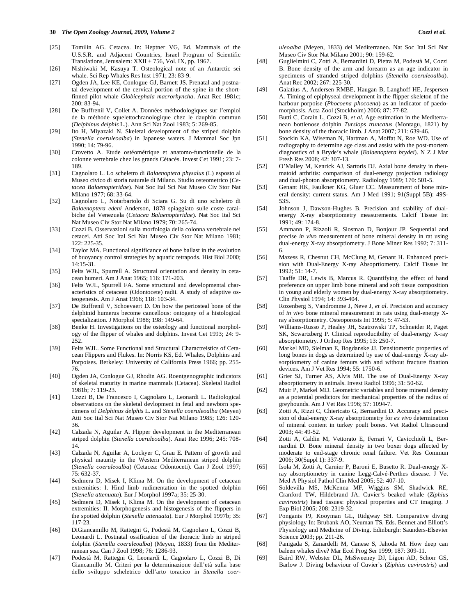#### **30** *The Open Zoology Journal, 2009, Volume 2 Cozzi et al.*

- [25] Tomilin AG. Cetacea. In: Heptner VG, Ed. Mammals of the U.S.S.R. and Adjacent Countries, Israel Program of Scientific Translations, Jerusalem: XXII + 756, Vol. IX, pp. 1967.
- [26] Nishiwaki M, Kasuya T. Osteological note of an Antarctic sei whale. Sci Rep Whales Res Inst 1971; 23: 83-9.
- [27] Ogden JA, Lee KE, Conlogue GJ, Barnett JS. Prenatal and postnatal development of the cervical portion of the spine in the shortfinned pilot whale *Globicephala macrorhyncha*. Anat Rec 1981c; 200: 83-94.
- [28] De Buffrenil V, Collet A. Données méthodologiques sur l'emploi de la méthode squelettochranologique chez le dauphin commun (*Delphinus delphis* L.). Ann Sci Nat Zool 1983; 5: 269-85.
- [29] Ito H, Miyazaki N. Skeletal development of the striped dolphin (*Stenella coeruleoalba*) in Japanese waters. J Mammal Soc Jpn 1990; 14: 79-96.
- [30] Crovetto A. Etude ostéométrique et anatomo-functionelle de la colonne vertebrale chez les grands Cétacés. Invest Cet 1991; 23: 7- 189.
- [31] Cagnolaro L. Lo scheletro di *Balaenoptera physalus* (L) esposto al Museo civico di storia naturale di Milano. Studio osteometrico (*Cetacea Balaenopteridae*). Nat Soc Ital Sci Nat Museo Civ Stor Nat Milano 1977; 68: 33-64.
- [32] Cagnolaro L, Notarbartolo di Sciara G. Su di uno scheletro di *Balaenoptera edeni* Anderson, 1878 spiaggiato sulle coste caraibiche del Venezuela (*Cetacea Balaenopteridae*). Nat Soc Ital Sci Nat Museo Civ Stor Nat Milano 1979; 70: 265-74.
- [33] Cozzi B. Osservazioni sulla morfologia della colonna vertebrale nei cetacei. Atti Soc Ital Sci Nat Museo Civ Stor Nat Milano 1981; 122: 225-35.
- [34] Taylor MA. Functional significance of bone ballast in the evolution of buoyancy control strategies by aquatic tetrapods. Hist Biol 2000; 14:15-31.
- [35] Felts WJL, Spurrell A. Structural orientation and density in cetacean humeri. Am J Anat 1965; 116: 171-203.
- [36] Felts WJL, Spurrell FA. Some structural and developmental characteristics of cetacean (Odontocete) radii. A study of adaptive osteogenesis. Am J Anat 1966; 118: 103-34.
- [37] De Buffrenil V, Schoevaert D. On how the periosteal bone of the delphinid humerus become cancellous: ontogeny of a histological specialization. J Morphol 1988; 198: 149-64.
- [38] Benke H. Investigations on the osteology and functional morphology of the flipper of whales and dolphins. Invest Cet 1993; 24: 9- 252.
- [39] Felts WJL. Some Functional and Structural Charactreistics of Cetacean Flippers and Flukes. In: Norris KS, Ed. Whales, Dolphins and Porpoises. Berkeley: University of California Press 1966; pp. 255- 76.
- [40] Ogden JA, Conlogue GJ, Rhodin AG. Roentgenographic indicators of skeletal maturity in marine mammals (Cetacea). Skeletal Radiol 1981b; 7: 119-23.
- [41] Cozzi B, De Francesco I, Cagnolaro L, Leonardi L. Radiological observations on the skeletal devlopment in fetal and newborn specimens of *Delphinus delphis* L. and *Stenella coeruleoalba* (Meyen) Atti Soc Ital Sci Nat Museo Civ Stor Nat Milano 1985; 126: 120- 36.
- [42] Calzada N, Aguilar A. Flipper development in the Mediterranean striped dolphin (*Stenella coeruleoalba*). Anat Rec 1996; 245: 708- 14.
- [43] Calzada N, Aguilar A, Lockyer C, Grau E. Pattern of growth and physical maturity in the Western Mediterranean striped dolphin (*Stenella coeruleoalba*) (Cetacea: Odontoceti). Can J Zool 1997; 75: 632-37.
- [44] Sedmera D, Misek I, Klima M. On the development of cetacean extremities: I. Hind limb rudimentation in the spotted dolphin (*Stenella attenuata*). Eur J Morphol 1997a; 35: 25-30.
- [45] Sedmera D, Misek I, Klima M. On the development of cetacean extremities: II. Morphogenesis and histogenesis of the flippers in the spotted dolphin (*Stenella attenuata*). Eur J Morphol 1997b; 35: 117-23.
- [46] DiGiancamillo M, Rattegni G, Podestà M, Cagnolaro L, Cozzi B, Leonardi L. Postnatal ossification of the thoracic limb in striped dolphin (*Stenella coeruleoalba*) (Meyen, 1833) from the Mediterranean sea. Can J Zool 1998; 76: 1286-93.
- [47] Podestà M, Rattegni G, Leonardi L, Cagnolaro L, Cozzi B, Di Giancamillo M. Criteri per la determinazione dell'età sulla base dello sviluppo scheletrico dell'arto toracico in *Stenella coer-*

*uleoalba* (Meyen, 1833) del Mediterraneo. Nat Soc Ital Sci Nat Museo Civ Stor Nat Milano 2001; 90: 159-62.

- [48] Guglielmini C, Zotti A, Bernardini D, Pietra M, Podestà M, Cozzi B. Bone density of the arm and forearm as an age indicator in specimens of stranded striped dolphins (*Stenella coeruleoalba*). Anat Rec 2002; 267: 225-30.
- [49] Galatius A, Andersen RMBE, Haugan B, Langhoff HE, Jespersen A. Timing of epiphyseal development in the flipper skeleton of the harbour porpoise (*Phocoena phocoena*) as an indicator of paedomorphosis. Acta Zool (Stockholm) 2006; 87: 77-82.
- [50] Butti C, Corain L, Cozzi B, *et al*. Age estimation in the Mediterranean bottlenose dolphin *Tursiops truncatus* (Montagu, 1821) by bone density of the thoracic limb. J Anat 2007; 211: 639-46.
- [51] Stockin KA, Wiseman N, Hartman A, Moffat N, Roe WD. Use of radiography to determine age class and assist with the post-mortem diagnostics of a Bryde's whale (*Balaenoptera brydei*). N Z J Mar Fresh Res 2008; 42: 307-13.
- [52] O'Malley M, Kenrick AJ, Sartoris DJ. Axial bone density in rheumatoid arthritis: comparison of dual-energy projection radiology and dual-photon absorptiometry. Radiology 1989; 170: 501-5.
- [53] Genant HK, Faulkner KG, Gluer CC. Measurement of bone mineral density: current status. Am J Med 1991; 91(Suppl 5B): 49S-53S.
- [54] Johnson J, Dawson-Hughes B. Precision and stability of dualenergy X-ray absorptiometry measurements. Calcif Tissue Int 1991; 49: 174-8.
- [55] Ammann P, Rizzoli R, Slosman D, Bonjour JP. Sequential and precise *in vivo* measurement of bone mineral density in rat using dual-energy X-ray absorptiometry. J Bone Miner Res 1992; 7: 311- 6.
- [56] Mazess R, Chesnut CH, McClung M, Genant H. Enhanced precision with Dual-Energy X-ray Absoprtiometry. Calcif Tissue Int 1992; 51: 14-7.
- [57] Taaffe DR, Lewis B, Marcus R. Quantifying the effect of hand preference on upper limb bone mineral and soft tissue composition in young and elderly women by dual-energy X-ray absorptiometry. Clin Physiol 1994; 14: 393-404.
- [58] Rozenberg S, Vandromme J, Neve J, *et al*. Precision and accuracy of *in vivo* bone mineral measurement in rats using dual-energy Xray absorptiometry. Osteoporosis Int 1995; 5: 47-53.
- [59] Williams-Russo P, Healey JH, Szatrowski TP, Schneider R, Paget SK, Scwartzberg P. Clinical reproducibility of dual-energy X-ray absorptiometry. J Orthop Res 1995; 13: 250-7.
- [60] Markel MD, Sielman E, Bogdanske JJ. Densitometric properties of long bones in dogs as determined by use of dual-energy X-ray absorptiometry of canine femurs with and without fracture fixation devices. Am J Vet Res 1994; 55: 1750-6.
- [61] Grier SJ, Turner AS, Alvis MR. The use of Dual-Energy X-ray absorptiometry in animals. Invest Radiol 1996; 31: 50-62.
- [62] Muir P, Markel MD. Geometric variables and bone mineral density as a potential predictors for mechanical properties of the radius of greyhounds. Am J Vet Res 1996; 57: 1094-7.
- [63] Zotti A, Rizzi C, Chiericato G, Bernardini D. Accuracy and precision of dual-energy X-ray absorptiometry for *ex vivo* determination of mineral content in turkey poult bones. Vet Radiol Ultrasound 2003; 44: 49-52.
- [64] Zotti A, Caldin M, Vettorato E, Ferrari V, Cavicchioli L, Bernardini D. Bone mineral density in two boxer dogs affected by moderate to end-stage chronic renal failure. Vet Res Commun 2006; 30(Suppl 1): 337-9.
- [65] Isola M, Zotti A, Carnier P, Baroni E, Busetto R. Dual-energy Xray absorptiometry in canine Legg-Calvé-Perthes disease. J Vet Med A Physiol Pathol Clin Med 2005; 52: 407-10.
- [66] Soldevilla MS, McKenna MF, Wiggins SM, Shadwick RE, Cranford TW, Hildebrand JA. Cuvier's beaked whale (*Ziphius cavirostris*) head tissues: physical properties and CT imaging. J Exp Biol 2005; 208: 2319-32.
- [67] Ponganis PJ, Kooyman GL, Ridgway SH. Comparative diving physiology In: Brubank AO, Neuman TS, Eds. Bennet and Elliott's Physiology and Medicine of Diving. Edinburgh: Saunders-Elsevier Science 2003; pp. 211-26.
- [68] Panigada S, Zanardelli M, Canese S, Jahoda M. How deep can baleen whales dive? Mar Ecol Prog Ser 1999; 187: 309-11.
- [69] Baird RW, Webster DL, MsSweeney DJ, Ligon AD, Schorr GS, Barlow J. Diving behaviour of Cuvier's (*Ziphius cavirostris*) and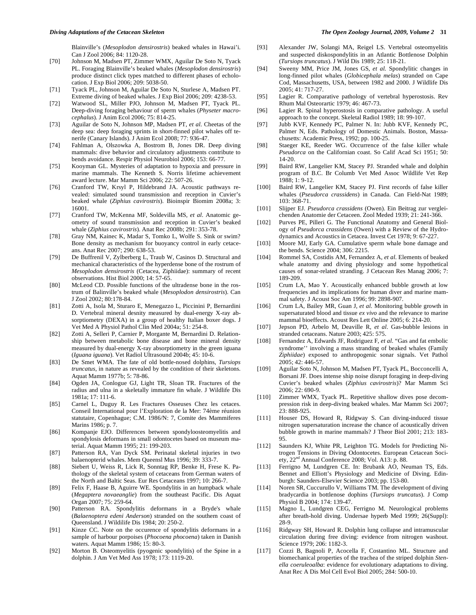Blainville's (*Mesoplodon densirostris*) beaked whales in Hawai'i. Can J Zool 2006; 84: 1120-28.

- [70] Johnson M, Madsen PT, Zimmer WMX, Aguilar De Soto N, Tyack PL. Foraging Blainville's beaked whales (*Mesoplodon densirostris*) produce distinct click types matched to different phases of echolocation. J Exp Biol 2006; 209: 5038-50.
- [71] Tyack PL, Johnson M, Aguilar De Soto N, Sturlese A, Madsen PT. Extreme diving of beaked whales. J Exp Biol 2006; 209: 4238-53.
- [72] Watwood SL, Miller PJO, Johnson M, Madsen PT, Tyack PL. Deep-diving foraging behaviour of sperm whales (*Physeter macrocephalus*). J Anim Ecol 2006; 75: 814-25.
- [73] Aguilar de Soto N, Johnson MP, Madsen PT, *et al*. Cheetas of the deep sea: deep foraging sprints in short-finned pilot whales off tenerife (Canary Islands). J Anim Ecol 2008; 77: 936-47.
- [74] Fahlman A, Olszowka A, Bostrom B, Jones DR. Deep diving mammals: dive behavior and circulatory adjustments contribute to bends avoidance. Respir Physiol Neurobiol 2006; 153: 66-77.
- [75] Kooyman GL. Mysteries of adaptation to hypoxia and pressure in marine mammals. The Kenneth S. Norris lifetime achievement award lecture. Mar Mamm Sci 2006; 22: 507-26.
- [76] Cranford TW, Krsyl P, Hildebrand JA. Acoustic pathways revealed: simulated sound transmission and reception in Cuvier's beaked whale (*Ziphius cavirostris*). Bioinspir Biomim 2008a; 3: 16001.
- [77] Cranford TW, McKenna MF, Soldevilla MS, *et al*. Anatomic geometry of sound transmission and reception in Cuvier's beaked whale (*Ziphius cavirostris*). Anat Rec 2008b; 291: 353-78.
- [78] Gray NM, Kainec K, Madar S, Tomko L, Wolfe S. Sink or swim? Bone density as mechanism for buoyancy control in early cetaceans. Anat Rec 2007; 290: 638-53.
- [79] De Buffrenil V, Zylberberg L, Traub W, Casinos D. Structural and mechanical characteristics of the hyperdense bone of the rostrum of *Mesoplodon densirostris* (Cetacea, Ziphiidae): summary of recent observations. Hist Biol 2000; 14: 57-65.
- [80] McLeod CD. Possible functions of the ultradense bone in the rostrum of Balinville's beaked whale (*Mesoplodon densirostris*). Can J Zool 2002; 80:178-84.
- [81] Zotti A, Isola M, Sturaro E, Menegazzo L, Piccinini P, Bernardini D. Vertebral mineral desnity measured by dual-energy X-ray absorptiometry (DEXA) in a group of healthy Italian boxer dogs. J Vet Med A Physiol Pathol Clin Med 2004a; 51: 254-8.
- [82] Zotti A, Selleri P, Carnier P, Morgante M, Bernardini D. Relationship between metabolic bone disease and bone mineral density measured by dual-energy X-ray absorptiometry in the green iguana (*Iguana iguana*). Vet Radiol Ultrasound 2004b; 45: 10-6.
- [83] De Smet WMA. The fate of old bottle-nosed dolphins, *Tursiops truncatus*, in nature as revealed by the condition of their skeletons. Aquat Mamm 1977b; 5: 78-86.
- [84] Ogden JA, Conlogue GJ, Light TR, Sloan TR. Fractures of the radius and ulna in a skeletally immature fin whale. J Wildlife Dis 1981a; 17: 111-6.
- [85] Carnel L, Duguy R. Les Fractures Osseuses Chez les cetaces. Conseil International pour l'Exploration de la Mer: 74ème réunion statutaire, Copenhague; C.M. 1986/N: 7, Comite des Mammiferes Marins 1986; p. 7.
- [86] Kompanje EJO. Differences between spondyloosteomyelitis and spondylosis deformans in small odontocetes based on museum material. Aquat Mamm 1995; 21: 199-203.
- [87] Patterson RA, Van Dyck SM. Perinatal skeletal injuries in two balaenopterid whales. Mem Queensl Mus 1996; 39: 333-7.
- [88] Siebert U, Weiss R, Lick R, Sonntag RP, Benke H, Frese K. Pathology of the skeletal system of cetaceans from German waters of the North and Baltic Seas. Eur Res Cetaceans 1997; 10: 266-7.
- [89] Felix F, Haase B, Aguirre WE. Spondylitis in an humpback whale (*Megaptera novaeanglie*) from the southeast Pacific. Dis Aquat Organ 2007; 75: 259-64.
- [90] Patterson RA. Spondylitis deformans in a Bryde's whale (*Balaenoptera edeni Anderson*) stranded on the southern coast of Queensland. J Wildilife Dis 1984; 20: 250-2.
- [91] Kinze CC. Note on the occurence of spondylitis deformans in a sample of harbour porpoises (*Phocoena phocoena*) taken in Danish waters. Aquat Mamm 1986; 15: 80-3.
- [92] Morton B. Osteomyelitis (pyogenic spondylitis) of the Spine in a dolphin. J Am Vet Med Ass 1978; 173: 1119-20.
- [93] Alexander JW, Solangi MA, Reigel LS. Vertebral osteomyelitis and suspected diskospondylitis in an Atlantic Bottlenose Dolphin (*Tursiops truncatus*). J Wild Dis 1989; 25: 118-21.
- [94] Sweeny MM, Price JM, Jones GS, *et al.* Spondylitic changes in long-finned pilot whales (*Globicephala melas*) stranded on Cape Cod, Massachusetts, USA, between 1982 and 2000. J Wildlife Dis 2005; 41: 717-27.
- [95] Lagier R. Comparative pathology of vertebral hyperostosis. Rev Rhum Mal Osteorartic 1979; 46: 467-73.
- [96] Lagier R. Spinal hyperostosis in comparative pathology. A useful approach to the concept. Skeletal Radiol 1989; 18: 99-107.
- [97] Jubb KVF, Kennedy PC, Palmer N. In: Jubb KVF, Kennedy PC, Palmer N, Eds. Pathology of Domestic Animals. Boston, Massachusetts: Academic Press, 1992; pp. 100-25.
- [98] Staeger KE, Reeder WG. Occurrence of the false killer whale *Pseudorca* on the Californian coast. So Calif Acad Sci 1951; 50: 14-20.
- [99] Baird RW, Langelier KM, Stacey PJ. Stranded whale and dolphin program of B.C. Br Columb Vet Med Assoc Wildlife Vet Rep 1988; 1: 9-12.
- [100] Baird RW, Langelier KM, Stacey PJ. First records of false killer whales (*Pseudorca crassidens*) in Canada. Can Field-Nat 1989; 103: 368-71.
- [101] Slijper EJ. *Pseudorca crassidens* (Owen). Ein Beitrag zur vergleichenden Anatomie der Cetaceen. Zool Meded 1939; 21: 241-366.
- [102] Purves PE, Pilleri G. The Functional Anatomy and General Biology of *Pseudorca crassidens* (Owen) with a Review of the Hydrodynamics and Acoustics in Cetacea. Invest Cet 1978; 9: 67-227.
- [103] Moore MJ, Early GA. Cumulative sperm whale bone damage and the bends. Science 2004; 306: 2215.
- [104] Rommel SA, Costidis AM, Fernandez A, *et al*. Elements of beaked whale anatomy and diving physiology and some hypothetical causes of sonar-related stranding. J Cetacean Res Manag 2006; 7: 189-209.
- [105] Crum LA, Mao Y. Acoustically enhanced bubble growth at low frequencies and its implications for human diver and marine mammal safety. J Acoust Soc Am 1996; 99: 2898-907.
- [106] Crum LA, Bailey MR, Guan J, *et al*. Monitoring bubble growth in supersaturated blood and tissue *ex vivo* and the relevance to marine mammal bioeffects. Acoust Res Lett Online 2005; 6: 214-20.
- [107] Jepson PD, Arbelo M, Deaville R, *et al*. Gas-bubble lesions in stranded cetaceans. Nature 2003; 425: 575.
- [108] Fernandez A, Edwards JF, Rodriguez F, *et al*. "Gas and fat embolic syndrome'' involving a mass stranding of beaked whales (Family *Ziphiidae*) exposed to anthropogenic sonar signals. Vet Pathol 2005; 42: 446-57.
- [109] Aguilar Soto N, Johnson M, Madsen PT, Tyack PL, Bocconcelli A, Borsani JF. Does intense ship noise disrupt foraging in deep-diving Cuvier's beaked whales (*Ziphius cavirostris*)? Mar Mamm Sci 2006; 22: 690-9.
- [110] Zimmer WMX, Tyack PL. Repetitive shallow dives pose decompression risk in deep-diving beaked whales. Mar Mamm Sci 2007; 23: 888-925.
- [111] Houser DS, Howard R, Ridgway S. Can diving-induced tissue nitrogen supersaturation increase the chance of acoustically driven bubble growth in marine mammals? J Theor Biol 2001; 213: 183- 95.
- [112] Saunders KJ, White PR, Leighton TG. Models for Predicting Nitrogen Tensions in Diving Odontocetes. European Cetacean Society, 22nd Annual Conference 2008; Vol. A13: p. 88.
- [113] Ferrigno M, Lundgren CE. In: Brubank AO, Neuman TS, Eds. Bennet and Elliott's Physiology and Medicine of Diving. Edinburgh: Saunders-Elsevier Science 2003; pp. 153-80.
- [114] Noren SR, Cuccurullo V, Williams TM. The development of diving bradycardia in bottlenose dophins (*Tursiops truncatus*). J Comp Physiol B 2004; 174: 139-47.
- [115] Magno L, Lundgren CEG, Ferrigno M. Neurological problems after breath-hold diving. Undersae hyperb Med 1999; 26(Suppl): 28-9.
- [116] Ridgway SH, Howard R. Dolphin lung collapse and intramuscular circulation during free diving: evidence from nitrogen washout. Science 1979; 206: 1182-3.
- [117] Cozzi B, Bagnoli P, Acocella F, Costantino ML. Structure and biomechanical properties of the trachea of the striped dolphin *Stenella coeruleoalba*: evidence for evolutionary adaptations to diving. Anat Rec A Dis Mol Cell Evol Biol 2005; 284: 500-10.